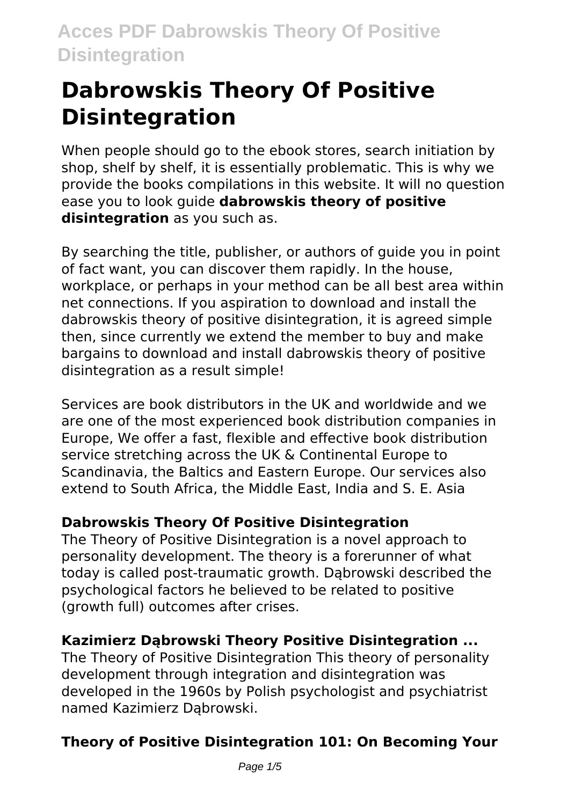# **Dabrowskis Theory Of Positive Disintegration**

When people should go to the ebook stores, search initiation by shop, shelf by shelf, it is essentially problematic. This is why we provide the books compilations in this website. It will no question ease you to look guide **dabrowskis theory of positive disintegration** as you such as.

By searching the title, publisher, or authors of guide you in point of fact want, you can discover them rapidly. In the house, workplace, or perhaps in your method can be all best area within net connections. If you aspiration to download and install the dabrowskis theory of positive disintegration, it is agreed simple then, since currently we extend the member to buy and make bargains to download and install dabrowskis theory of positive disintegration as a result simple!

Services are book distributors in the UK and worldwide and we are one of the most experienced book distribution companies in Europe, We offer a fast, flexible and effective book distribution service stretching across the UK & Continental Europe to Scandinavia, the Baltics and Eastern Europe. Our services also extend to South Africa, the Middle East, India and S. E. Asia

# **Dabrowskis Theory Of Positive Disintegration**

The Theory of Positive Disintegration is a novel approach to personality development. The theory is a forerunner of what today is called post-traumatic growth. Dąbrowski described the psychological factors he believed to be related to positive (growth full) outcomes after crises.

# **Kazimierz Dąbrowski Theory Positive Disintegration ...**

The Theory of Positive Disintegration This theory of personality development through integration and disintegration was developed in the 1960s by Polish psychologist and psychiatrist named Kazimierz Dąbrowski.

# **Theory of Positive Disintegration 101: On Becoming Your**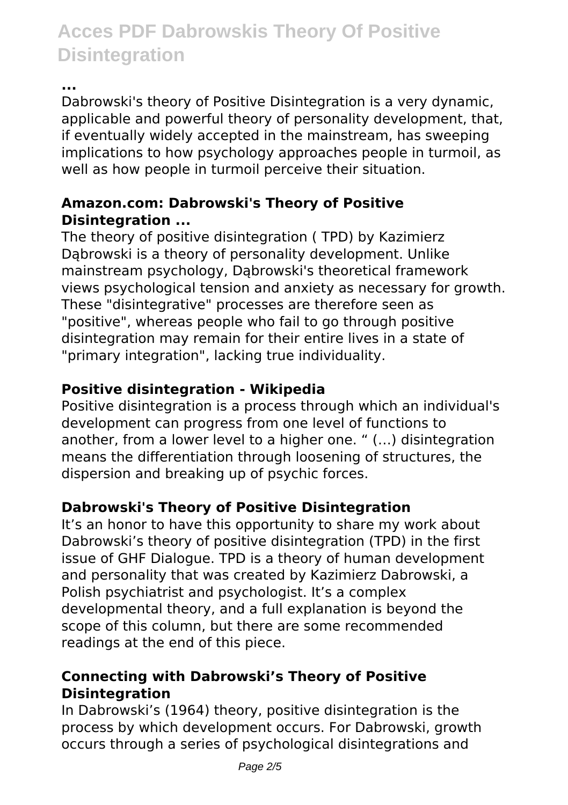**...**

Dabrowski's theory of Positive Disintegration is a very dynamic, applicable and powerful theory of personality development, that, if eventually widely accepted in the mainstream, has sweeping implications to how psychology approaches people in turmoil, as well as how people in turmoil perceive their situation.

### **Amazon.com: Dabrowski's Theory of Positive Disintegration ...**

The theory of positive disintegration ( TPD) by Kazimierz Dąbrowski is a theory of personality development. Unlike mainstream psychology, Dąbrowski's theoretical framework views psychological tension and anxiety as necessary for growth. These "disintegrative" processes are therefore seen as "positive", whereas people who fail to go through positive disintegration may remain for their entire lives in a state of "primary integration", lacking true individuality.

## **Positive disintegration - Wikipedia**

Positive disintegration is a process through which an individual's development can progress from one level of functions to another, from a lower level to a higher one. " (…) disintegration means the differentiation through loosening of structures, the dispersion and breaking up of psychic forces.

# **Dabrowski's Theory of Positive Disintegration**

It's an honor to have this opportunity to share my work about Dabrowski's theory of positive disintegration (TPD) in the first issue of GHF Dialogue. TPD is a theory of human development and personality that was created by Kazimierz Dabrowski, a Polish psychiatrist and psychologist. It's a complex developmental theory, and a full explanation is beyond the scope of this column, but there are some recommended readings at the end of this piece.

### **Connecting with Dabrowski's Theory of Positive Disintegration**

In Dabrowski's (1964) theory, positive disintegration is the process by which development occurs. For Dabrowski, growth occurs through a series of psychological disintegrations and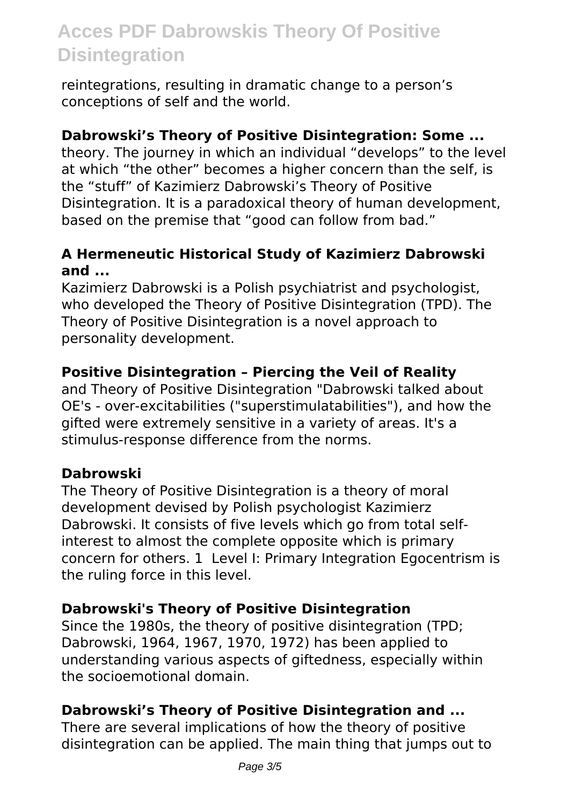reintegrations, resulting in dramatic change to a person's conceptions of self and the world.

#### **Dabrowski's Theory of Positive Disintegration: Some ...**

theory. The journey in which an individual "develops" to the level at which "the other" becomes a higher concern than the self, is the "stuff" of Kazimierz Dabrowski's Theory of Positive Disintegration. It is a paradoxical theory of human development, based on the premise that "good can follow from bad."

### **A Hermeneutic Historical Study of Kazimierz Dabrowski and ...**

Kazimierz Dabrowski is a Polish psychiatrist and psychologist, who developed the Theory of Positive Disintegration (TPD). The Theory of Positive Disintegration is a novel approach to personality development.

### **Positive Disintegration – Piercing the Veil of Reality**

and Theory of Positive Disintegration "Dabrowski talked about OE's - over-excitabilities ("superstimulatabilities"), and how the gifted were extremely sensitive in a variety of areas. It's a stimulus-response difference from the norms.

### **Dabrowski**

The Theory of Positive Disintegration is a theory of moral development devised by Polish psychologist Kazimierz Dabrowski. It consists of five levels which go from total selfinterest to almost the complete opposite which is primary concern for others. 1 Level I: Primary Integration Egocentrism is the ruling force in this level.

### **Dabrowski's Theory of Positive Disintegration**

Since the 1980s, the theory of positive disintegration (TPD; Dabrowski, 1964, 1967, 1970, 1972) has been applied to understanding various aspects of giftedness, especially within the socioemotional domain.

### **Dabrowski's Theory of Positive Disintegration and ...**

There are several implications of how the theory of positive disintegration can be applied. The main thing that jumps out to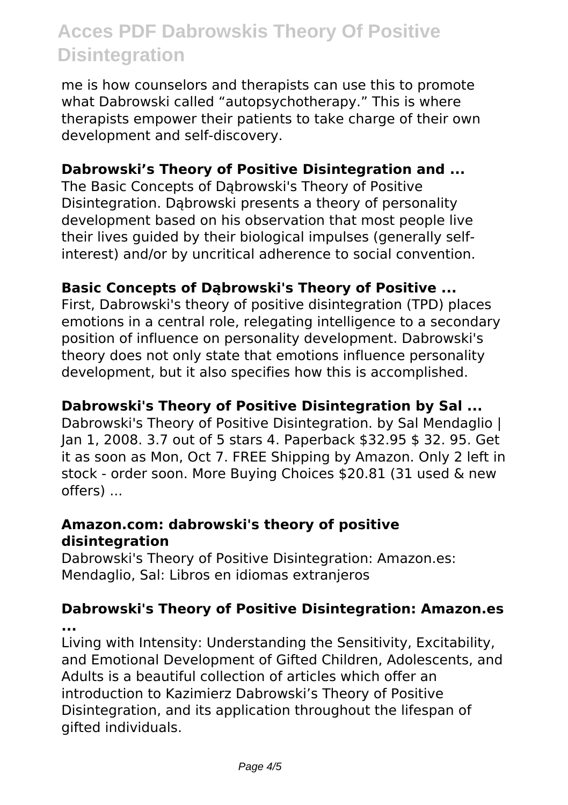me is how counselors and therapists can use this to promote what Dabrowski called "autopsychotherapy." This is where therapists empower their patients to take charge of their own development and self-discovery.

#### **Dabrowski's Theory of Positive Disintegration and ...**

The Basic Concepts of Dąbrowski's Theory of Positive Disintegration. Dąbrowski presents a theory of personality development based on his observation that most people live their lives guided by their biological impulses (generally selfinterest) and/or by uncritical adherence to social convention.

### **Basic Concepts of Dąbrowski's Theory of Positive ...**

First, Dabrowski's theory of positive disintegration (TPD) places emotions in a central role, relegating intelligence to a secondary position of influence on personality development. Dabrowski's theory does not only state that emotions influence personality development, but it also specifies how this is accomplished.

#### **Dabrowski's Theory of Positive Disintegration by Sal ...**

Dabrowski's Theory of Positive Disintegration. by Sal Mendaglio | Jan 1, 2008. 3.7 out of 5 stars 4. Paperback \$32.95 \$ 32. 95. Get it as soon as Mon, Oct 7. FREE Shipping by Amazon. Only 2 left in stock - order soon. More Buying Choices \$20.81 (31 used & new offers) ...

#### **Amazon.com: dabrowski's theory of positive disintegration**

Dabrowski's Theory of Positive Disintegration: Amazon.es: Mendaglio, Sal: Libros en idiomas extranjeros

# **Dabrowski's Theory of Positive Disintegration: Amazon.es**

**...**

Living with Intensity: Understanding the Sensitivity, Excitability, and Emotional Development of Gifted Children, Adolescents, and Adults is a beautiful collection of articles which offer an introduction to Kazimierz Dabrowski's Theory of Positive Disintegration, and its application throughout the lifespan of gifted individuals.